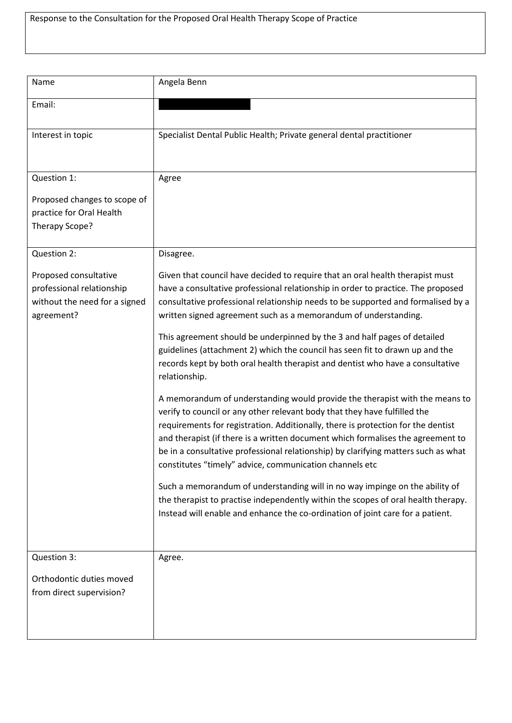| Name                                                                                              | Angela Benn                                                                                                                                                                                                                                                                                                                                                                                                                                                                                                                                                                                                                                                                                                                                                                                                                                                                                                                                                                                                                                                                                                                                                                                                                                                                                                                       |
|---------------------------------------------------------------------------------------------------|-----------------------------------------------------------------------------------------------------------------------------------------------------------------------------------------------------------------------------------------------------------------------------------------------------------------------------------------------------------------------------------------------------------------------------------------------------------------------------------------------------------------------------------------------------------------------------------------------------------------------------------------------------------------------------------------------------------------------------------------------------------------------------------------------------------------------------------------------------------------------------------------------------------------------------------------------------------------------------------------------------------------------------------------------------------------------------------------------------------------------------------------------------------------------------------------------------------------------------------------------------------------------------------------------------------------------------------|
| Email:                                                                                            |                                                                                                                                                                                                                                                                                                                                                                                                                                                                                                                                                                                                                                                                                                                                                                                                                                                                                                                                                                                                                                                                                                                                                                                                                                                                                                                                   |
| Interest in topic                                                                                 | Specialist Dental Public Health; Private general dental practitioner                                                                                                                                                                                                                                                                                                                                                                                                                                                                                                                                                                                                                                                                                                                                                                                                                                                                                                                                                                                                                                                                                                                                                                                                                                                              |
| Question 1:                                                                                       | Agree                                                                                                                                                                                                                                                                                                                                                                                                                                                                                                                                                                                                                                                                                                                                                                                                                                                                                                                                                                                                                                                                                                                                                                                                                                                                                                                             |
| Proposed changes to scope of<br>practice for Oral Health<br>Therapy Scope?                        |                                                                                                                                                                                                                                                                                                                                                                                                                                                                                                                                                                                                                                                                                                                                                                                                                                                                                                                                                                                                                                                                                                                                                                                                                                                                                                                                   |
| Question 2:                                                                                       | Disagree.                                                                                                                                                                                                                                                                                                                                                                                                                                                                                                                                                                                                                                                                                                                                                                                                                                                                                                                                                                                                                                                                                                                                                                                                                                                                                                                         |
| Proposed consultative<br>professional relationship<br>without the need for a signed<br>agreement? | Given that council have decided to require that an oral health therapist must<br>have a consultative professional relationship in order to practice. The proposed<br>consultative professional relationship needs to be supported and formalised by a<br>written signed agreement such as a memorandum of understanding.<br>This agreement should be underpinned by the 3 and half pages of detailed<br>guidelines (attachment 2) which the council has seen fit to drawn up and the<br>records kept by both oral health therapist and dentist who have a consultative<br>relationship.<br>A memorandum of understanding would provide the therapist with the means to<br>verify to council or any other relevant body that they have fulfilled the<br>requirements for registration. Additionally, there is protection for the dentist<br>and therapist (if there is a written document which formalises the agreement to<br>be in a consultative professional relationship) by clarifying matters such as what<br>constitutes "timely" advice, communication channels etc<br>Such a memorandum of understanding will in no way impinge on the ability of<br>the therapist to practise independently within the scopes of oral health therapy.<br>Instead will enable and enhance the co-ordination of joint care for a patient. |
| Question 3:                                                                                       | Agree.                                                                                                                                                                                                                                                                                                                                                                                                                                                                                                                                                                                                                                                                                                                                                                                                                                                                                                                                                                                                                                                                                                                                                                                                                                                                                                                            |
| Orthodontic duties moved<br>from direct supervision?                                              |                                                                                                                                                                                                                                                                                                                                                                                                                                                                                                                                                                                                                                                                                                                                                                                                                                                                                                                                                                                                                                                                                                                                                                                                                                                                                                                                   |